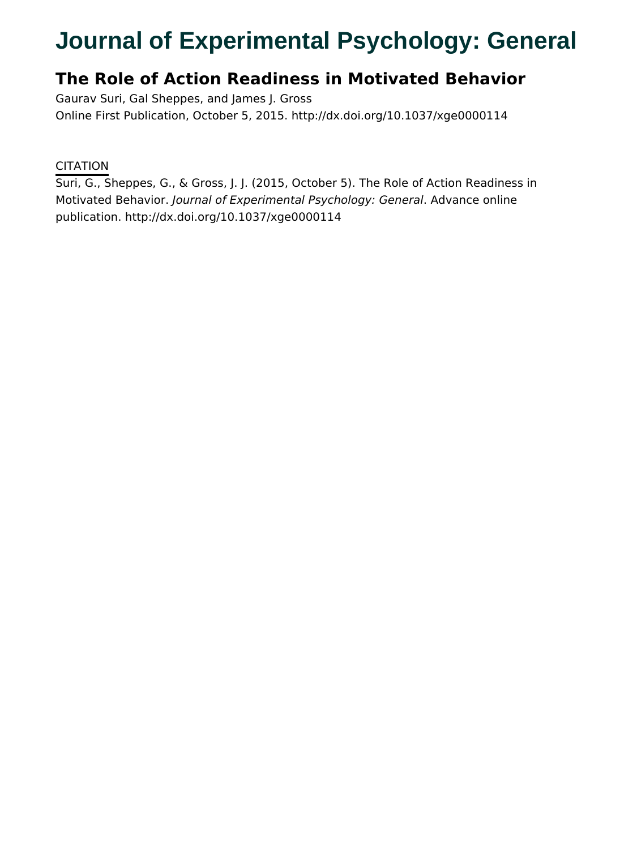# **Journal of Experimental Psychology: General**

# **The Role of Action Readiness in Motivated Behavior**

Gaurav Suri, Gal Sheppes, and James J. Gross Online First Publication, October 5, 2015. http://dx.doi.org/10.1037/xge0000114

### **CITATION**

Suri, G., Sheppes, G., & Gross, J. J. (2015, October 5). The Role of Action Readiness in Motivated Behavior. Journal of Experimental Psychology: General. Advance online publication. http://dx.doi.org/10.1037/xge0000114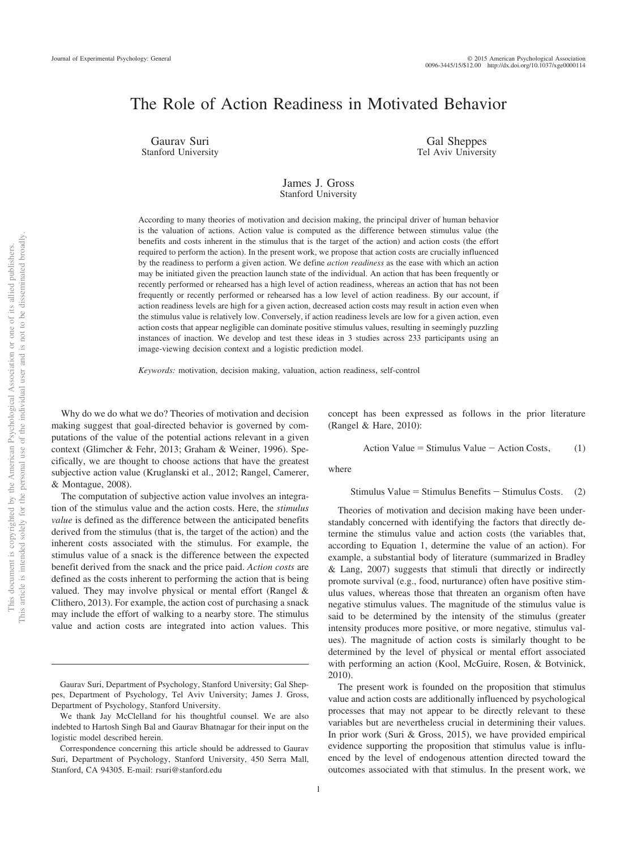## The Role of Action Readiness in Motivated Behavior

Gaurav Suri Stanford University

Gal Sheppes Tel Aviv University

#### James J. Gross Stanford University

According to many theories of motivation and decision making, the principal driver of human behavior is the valuation of actions. Action value is computed as the difference between stimulus value (the benefits and costs inherent in the stimulus that is the target of the action) and action costs (the effort required to perform the action). In the present work, we propose that action costs are crucially influenced by the readiness to perform a given action. We define *action readiness* as the ease with which an action may be initiated given the preaction launch state of the individual. An action that has been frequently or recently performed or rehearsed has a high level of action readiness, whereas an action that has not been frequently or recently performed or rehearsed has a low level of action readiness. By our account, if action readiness levels are high for a given action, decreased action costs may result in action even when the stimulus value is relatively low. Conversely, if action readiness levels are low for a given action, even action costs that appear negligible can dominate positive stimulus values, resulting in seemingly puzzling instances of inaction. We develop and test these ideas in 3 studies across 233 participants using an image-viewing decision context and a logistic prediction model.

*Keywords:* motivation, decision making, valuation, action readiness, self-control

Why do we do what we do? Theories of motivation and decision making suggest that goal-directed behavior is governed by computations of the value of the potential actions relevant in a given context (Glimcher & Fehr, 2013; Graham & Weiner, 1996). Specifically, we are thought to choose actions that have the greatest subjective action value (Kruglanski et al., 2012; Rangel, Camerer, & Montague, 2008).

The computation of subjective action value involves an integration of the stimulus value and the action costs. Here, the *stimulus value* is defined as the difference between the anticipated benefits derived from the stimulus (that is, the target of the action) and the inherent costs associated with the stimulus. For example, the stimulus value of a snack is the difference between the expected benefit derived from the snack and the price paid. *Action costs* are defined as the costs inherent to performing the action that is being valued. They may involve physical or mental effort (Rangel & Clithero, 2013). For example, the action cost of purchasing a snack may include the effort of walking to a nearby store. The stimulus value and action costs are integrated into action values. This concept has been expressed as follows in the prior literature (Rangel & Hare, 2010):

Action Value = Stimulus Value  $-$  Action Costs, (1)

where

Stimulus Value = Stimulus Benefits  $-$  Stimulus Costs. (2)

Theories of motivation and decision making have been understandably concerned with identifying the factors that directly determine the stimulus value and action costs (the variables that, according to Equation 1, determine the value of an action). For example, a substantial body of literature (summarized in Bradley & Lang, 2007) suggests that stimuli that directly or indirectly promote survival (e.g., food, nurturance) often have positive stimulus values, whereas those that threaten an organism often have negative stimulus values. The magnitude of the stimulus value is said to be determined by the intensity of the stimulus (greater intensity produces more positive, or more negative, stimulus values). The magnitude of action costs is similarly thought to be determined by the level of physical or mental effort associated with performing an action (Kool, McGuire, Rosen, & Botvinick, 2010).

The present work is founded on the proposition that stimulus value and action costs are additionally influenced by psychological processes that may not appear to be directly relevant to these variables but are nevertheless crucial in determining their values. In prior work (Suri & Gross, 2015), we have provided empirical evidence supporting the proposition that stimulus value is influenced by the level of endogenous attention directed toward the outcomes associated with that stimulus. In the present work, we

Gaurav Suri, Department of Psychology, Stanford University; Gal Sheppes, Department of Psychology, Tel Aviv University; James J. Gross, Department of Psychology, Stanford University.

We thank Jay McClelland for his thoughtful counsel. We are also indebted to Hartosh Singh Bal and Gaurav Bhatnagar for their input on the logistic model described herein.

Correspondence concerning this article should be addressed to Gaurav Suri, Department of Psychology, Stanford University, 450 Serra Mall, Stanford, CA 94305. E-mail: rsuri@stanford.edu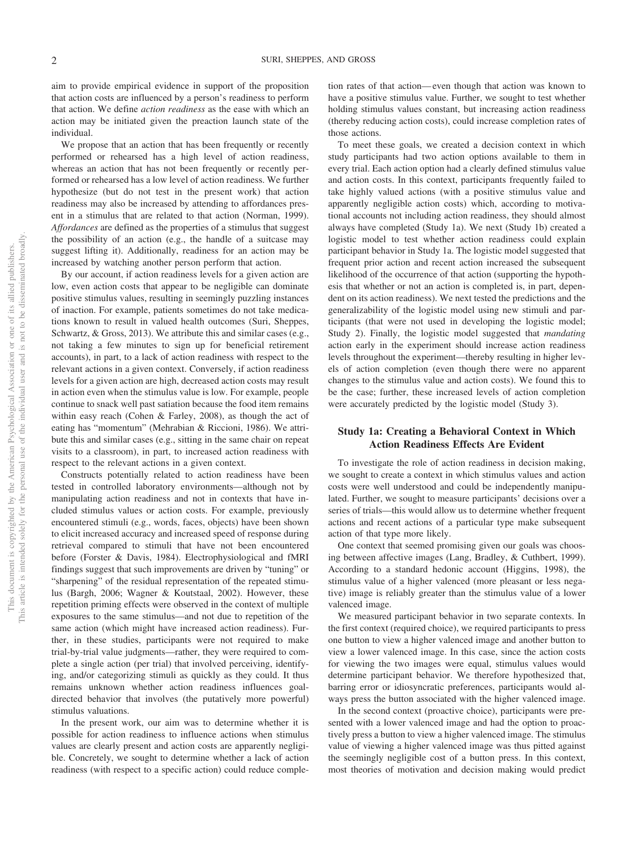aim to provide empirical evidence in support of the proposition that action costs are influenced by a person's readiness to perform that action. We define *action readiness* as the ease with which an action may be initiated given the preaction launch state of the individual.

We propose that an action that has been frequently or recently performed or rehearsed has a high level of action readiness, whereas an action that has not been frequently or recently performed or rehearsed has a low level of action readiness. We further hypothesize (but do not test in the present work) that action readiness may also be increased by attending to affordances present in a stimulus that are related to that action (Norman, 1999). *Affordances* are defined as the properties of a stimulus that suggest the possibility of an action (e.g., the handle of a suitcase may suggest lifting it). Additionally, readiness for an action may be increased by watching another person perform that action.

By our account, if action readiness levels for a given action are low, even action costs that appear to be negligible can dominate positive stimulus values, resulting in seemingly puzzling instances of inaction. For example, patients sometimes do not take medications known to result in valued health outcomes (Suri, Sheppes, Schwartz, & Gross, 2013). We attribute this and similar cases (e.g., not taking a few minutes to sign up for beneficial retirement accounts), in part, to a lack of action readiness with respect to the relevant actions in a given context. Conversely, if action readiness levels for a given action are high, decreased action costs may result in action even when the stimulus value is low. For example, people continue to snack well past satiation because the food item remains within easy reach (Cohen & Farley, 2008), as though the act of eating has "momentum" (Mehrabian & Riccioni, 1986). We attribute this and similar cases (e.g., sitting in the same chair on repeat visits to a classroom), in part, to increased action readiness with respect to the relevant actions in a given context.

Constructs potentially related to action readiness have been tested in controlled laboratory environments—although not by manipulating action readiness and not in contexts that have included stimulus values or action costs. For example, previously encountered stimuli (e.g., words, faces, objects) have been shown to elicit increased accuracy and increased speed of response during retrieval compared to stimuli that have not been encountered before (Forster & Davis, 1984). Electrophysiological and fMRI findings suggest that such improvements are driven by "tuning" or "sharpening" of the residual representation of the repeated stimulus (Bargh, 2006; Wagner & Koutstaal, 2002). However, these repetition priming effects were observed in the context of multiple exposures to the same stimulus—and not due to repetition of the same action (which might have increased action readiness). Further, in these studies, participants were not required to make trial-by-trial value judgments—rather, they were required to complete a single action (per trial) that involved perceiving, identifying, and/or categorizing stimuli as quickly as they could. It thus remains unknown whether action readiness influences goaldirected behavior that involves (the putatively more powerful) stimulus valuations.

In the present work, our aim was to determine whether it is possible for action readiness to influence actions when stimulus values are clearly present and action costs are apparently negligible. Concretely, we sought to determine whether a lack of action readiness (with respect to a specific action) could reduce completion rates of that action—even though that action was known to have a positive stimulus value. Further, we sought to test whether holding stimulus values constant, but increasing action readiness (thereby reducing action costs), could increase completion rates of those actions.

To meet these goals, we created a decision context in which study participants had two action options available to them in every trial. Each action option had a clearly defined stimulus value and action costs. In this context, participants frequently failed to take highly valued actions (with a positive stimulus value and apparently negligible action costs) which, according to motivational accounts not including action readiness, they should almost always have completed (Study 1a). We next (Study 1b) created a logistic model to test whether action readiness could explain participant behavior in Study 1a. The logistic model suggested that frequent prior action and recent action increased the subsequent likelihood of the occurrence of that action (supporting the hypothesis that whether or not an action is completed is, in part, dependent on its action readiness). We next tested the predictions and the generalizability of the logistic model using new stimuli and participants (that were not used in developing the logistic model; Study 2). Finally, the logistic model suggested that *mandating* action early in the experiment should increase action readiness levels throughout the experiment—thereby resulting in higher levels of action completion (even though there were no apparent changes to the stimulus value and action costs). We found this to be the case; further, these increased levels of action completion were accurately predicted by the logistic model (Study 3).

#### **Study 1a: Creating a Behavioral Context in Which Action Readiness Effects Are Evident**

To investigate the role of action readiness in decision making, we sought to create a context in which stimulus values and action costs were well understood and could be independently manipulated. Further, we sought to measure participants' decisions over a series of trials—this would allow us to determine whether frequent actions and recent actions of a particular type make subsequent action of that type more likely.

One context that seemed promising given our goals was choosing between affective images (Lang, Bradley, & Cuthbert, 1999). According to a standard hedonic account (Higgins, 1998), the stimulus value of a higher valenced (more pleasant or less negative) image is reliably greater than the stimulus value of a lower valenced image.

We measured participant behavior in two separate contexts. In the first context (required choice), we required participants to press one button to view a higher valenced image and another button to view a lower valenced image. In this case, since the action costs for viewing the two images were equal, stimulus values would determine participant behavior. We therefore hypothesized that, barring error or idiosyncratic preferences, participants would always press the button associated with the higher valenced image.

In the second context (proactive choice), participants were presented with a lower valenced image and had the option to proactively press a button to view a higher valenced image. The stimulus value of viewing a higher valenced image was thus pitted against the seemingly negligible cost of a button press. In this context, most theories of motivation and decision making would predict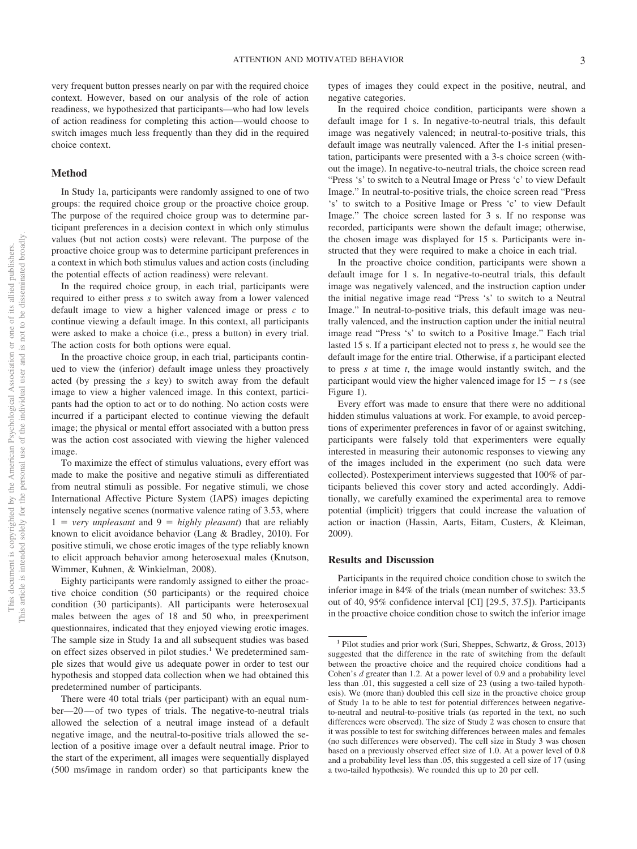very frequent button presses nearly on par with the required choice context. However, based on our analysis of the role of action readiness, we hypothesized that participants—who had low levels of action readiness for completing this action—would choose to switch images much less frequently than they did in the required choice context.

#### **Method**

In Study 1a, participants were randomly assigned to one of two groups: the required choice group or the proactive choice group. The purpose of the required choice group was to determine participant preferences in a decision context in which only stimulus values (but not action costs) were relevant. The purpose of the proactive choice group was to determine participant preferences in a context in which both stimulus values and action costs (including the potential effects of action readiness) were relevant.

In the required choice group, in each trial, participants were required to either press *s* to switch away from a lower valenced default image to view a higher valenced image or press *c* to continue viewing a default image. In this context, all participants were asked to make a choice (i.e., press a button) in every trial. The action costs for both options were equal.

In the proactive choice group, in each trial, participants continued to view the (inferior) default image unless they proactively acted (by pressing the *s* key) to switch away from the default image to view a higher valenced image. In this context, participants had the option to act or to do nothing. No action costs were incurred if a participant elected to continue viewing the default image; the physical or mental effort associated with a button press was the action cost associated with viewing the higher valenced image.

To maximize the effect of stimulus valuations, every effort was made to make the positive and negative stimuli as differentiated from neutral stimuli as possible. For negative stimuli, we chose International Affective Picture System (IAPS) images depicting intensely negative scenes (normative valence rating of 3.53, where  $1 = very$  *unpleasant* and  $9 =$  *highly pleasant*) that are reliably known to elicit avoidance behavior (Lang & Bradley, 2010). For positive stimuli, we chose erotic images of the type reliably known to elicit approach behavior among heterosexual males (Knutson, Wimmer, Kuhnen, & Winkielman, 2008).

Eighty participants were randomly assigned to either the proactive choice condition (50 participants) or the required choice condition (30 participants). All participants were heterosexual males between the ages of 18 and 50 who, in preexperiment questionnaires, indicated that they enjoyed viewing erotic images. The sample size in Study 1a and all subsequent studies was based on effect sizes observed in pilot studies.<sup>1</sup> We predetermined sample sizes that would give us adequate power in order to test our hypothesis and stopped data collection when we had obtained this predetermined number of participants.

There were 40 total trials (per participant) with an equal number—20—of two types of trials. The negative-to-neutral trials allowed the selection of a neutral image instead of a default negative image, and the neutral-to-positive trials allowed the selection of a positive image over a default neutral image. Prior to the start of the experiment, all images were sequentially displayed (500 ms/image in random order) so that participants knew the types of images they could expect in the positive, neutral, and negative categories.

In the required choice condition, participants were shown a default image for 1 s. In negative-to-neutral trials, this default image was negatively valenced; in neutral-to-positive trials, this default image was neutrally valenced. After the 1-s initial presentation, participants were presented with a 3-s choice screen (without the image). In negative-to-neutral trials, the choice screen read "Press 's' to switch to a Neutral Image or Press 'c' to view Default Image." In neutral-to-positive trials, the choice screen read "Press 's' to switch to a Positive Image or Press 'c' to view Default Image." The choice screen lasted for 3 s. If no response was recorded, participants were shown the default image; otherwise, the chosen image was displayed for 15 s. Participants were instructed that they were required to make a choice in each trial.

In the proactive choice condition, participants were shown a default image for 1 s. In negative-to-neutral trials, this default image was negatively valenced, and the instruction caption under the initial negative image read "Press 's' to switch to a Neutral Image." In neutral-to-positive trials, this default image was neutrally valenced, and the instruction caption under the initial neutral image read "Press 's' to switch to a Positive Image." Each trial lasted 15 s. If a participant elected not to press *s*, he would see the default image for the entire trial. Otherwise, if a participant elected to press *s* at time *t*, the image would instantly switch, and the participant would view the higher valenced image for  $15 - t$  s (see Figure 1).

Every effort was made to ensure that there were no additional hidden stimulus valuations at work. For example, to avoid perceptions of experimenter preferences in favor of or against switching, participants were falsely told that experimenters were equally interested in measuring their autonomic responses to viewing any of the images included in the experiment (no such data were collected). Postexperiment interviews suggested that 100% of participants believed this cover story and acted accordingly. Additionally, we carefully examined the experimental area to remove potential (implicit) triggers that could increase the valuation of action or inaction (Hassin, Aarts, Eitam, Custers, & Kleiman, 2009).

#### **Results and Discussion**

Participants in the required choice condition chose to switch the inferior image in 84% of the trials (mean number of switches: 33.5 out of 40, 95% confidence interval [CI] [29.5, 37.5]). Participants in the proactive choice condition chose to switch the inferior image

<sup>&</sup>lt;sup>1</sup> Pilot studies and prior work (Suri, Sheppes, Schwartz, & Gross, 2013) suggested that the difference in the rate of switching from the default between the proactive choice and the required choice conditions had a Cohen's *d* greater than 1.2. At a power level of 0.9 and a probability level less than .01, this suggested a cell size of 23 (using a two-tailed hypothesis). We (more than) doubled this cell size in the proactive choice group of Study 1a to be able to test for potential differences between negativeto-neutral and neutral-to-positive trials (as reported in the text, no such differences were observed). The size of Study 2 was chosen to ensure that it was possible to test for switching differences between males and females (no such differences were observed). The cell size in Study 3 was chosen based on a previously observed effect size of 1.0. At a power level of 0.8 and a probability level less than .05, this suggested a cell size of 17 (using a two-tailed hypothesis). We rounded this up to 20 per cell.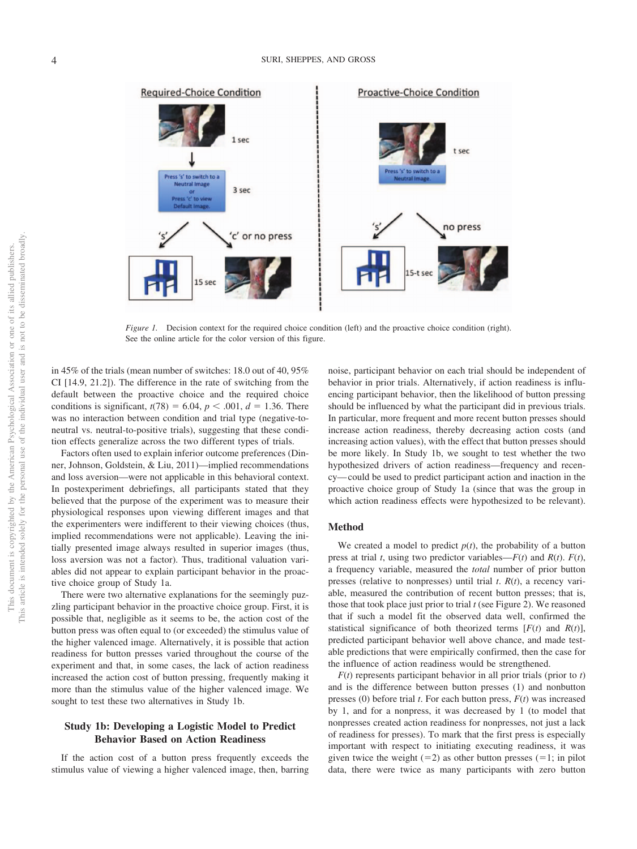

*Figure 1.* Decision context for the required choice condition (left) and the proactive choice condition (right). See the online article for the color version of this figure.

in 45% of the trials (mean number of switches: 18.0 out of 40, 95% CI [14.9, 21.2]). The difference in the rate of switching from the default between the proactive choice and the required choice conditions is significant,  $t(78) = 6.04$ ,  $p < .001$ ,  $d = 1.36$ . There was no interaction between condition and trial type (negative-toneutral vs. neutral-to-positive trials), suggesting that these condition effects generalize across the two different types of trials.

Factors often used to explain inferior outcome preferences (Dinner, Johnson, Goldstein, & Liu, 2011)—implied recommendations and loss aversion—were not applicable in this behavioral context. In postexperiment debriefings, all participants stated that they believed that the purpose of the experiment was to measure their physiological responses upon viewing different images and that the experimenters were indifferent to their viewing choices (thus, implied recommendations were not applicable). Leaving the initially presented image always resulted in superior images (thus, loss aversion was not a factor). Thus, traditional valuation variables did not appear to explain participant behavior in the proactive choice group of Study 1a.

There were two alternative explanations for the seemingly puzzling participant behavior in the proactive choice group. First, it is possible that, negligible as it seems to be, the action cost of the button press was often equal to (or exceeded) the stimulus value of the higher valenced image. Alternatively, it is possible that action readiness for button presses varied throughout the course of the experiment and that, in some cases, the lack of action readiness increased the action cost of button pressing, frequently making it more than the stimulus value of the higher valenced image. We sought to test these two alternatives in Study 1b.

#### **Study 1b: Developing a Logistic Model to Predict Behavior Based on Action Readiness**

If the action cost of a button press frequently exceeds the stimulus value of viewing a higher valenced image, then, barring

noise, participant behavior on each trial should be independent of behavior in prior trials. Alternatively, if action readiness is influencing participant behavior, then the likelihood of button pressing should be influenced by what the participant did in previous trials. In particular, more frequent and more recent button presses should increase action readiness, thereby decreasing action costs (and increasing action values), with the effect that button presses should be more likely. In Study 1b, we sought to test whether the two hypothesized drivers of action readiness—frequency and recency—could be used to predict participant action and inaction in the proactive choice group of Study 1a (since that was the group in which action readiness effects were hypothesized to be relevant).

#### **Method**

We created a model to predict  $p(t)$ , the probability of a button press at trial *t*, using two predictor variables— $F(t)$  and  $R(t)$ .  $F(t)$ , a frequency variable, measured the *total* number of prior button presses (relative to nonpresses) until trial *t*. *R*(*t*), a recency variable, measured the contribution of recent button presses; that is, those that took place just prior to trial *t* (see Figure 2). We reasoned that if such a model fit the observed data well, confirmed the statistical significance of both theorized terms  $[F(t)]$  and  $R(t)$ ], predicted participant behavior well above chance, and made testable predictions that were empirically confirmed, then the case for the influence of action readiness would be strengthened.

*F*(*t*) represents participant behavior in all prior trials (prior to *t*) and is the difference between button presses (1) and nonbutton presses (0) before trial *t*. For each button press, *F*(*t*) was increased by 1, and for a nonpress, it was decreased by 1 (to model that nonpresses created action readiness for nonpresses, not just a lack of readiness for presses). To mark that the first press is especially important with respect to initiating executing readiness, it was given twice the weight  $(=2)$  as other button presses  $(=1; \text{ in pilot})$ data, there were twice as many participants with zero button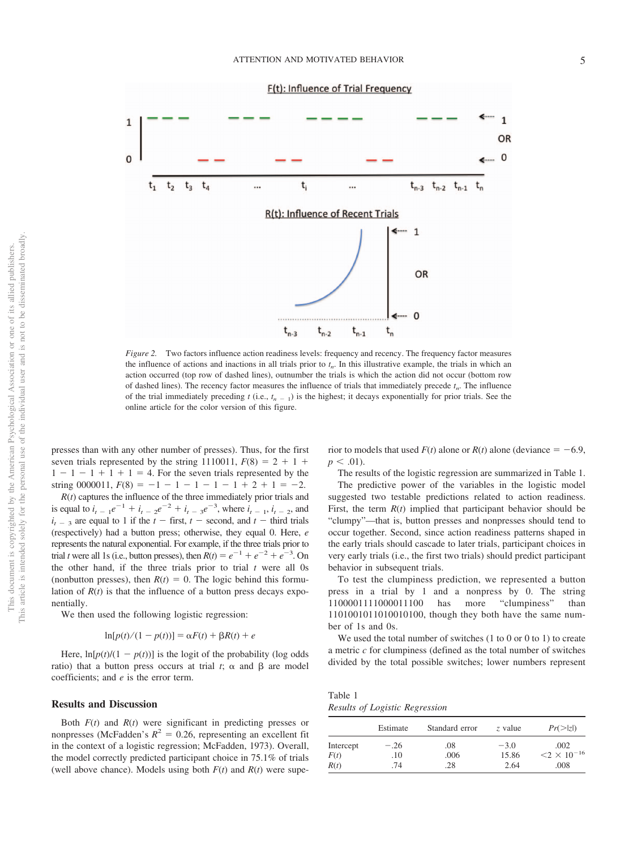

*Figure 2.* Two factors influence action readiness levels: frequency and recency. The frequency factor measures the influence of actions and inactions in all trials prior to  $t_n$ . In this illustrative example, the trials in which an action occurred (top row of dashed lines), outnumber the trials is which the action did not occur (bottom row of dashed lines). The recency factor measures the influence of trials that immediately precede  $t_n$ . The influence of the trial immediately preceding  $t$  (i.e.,  $t_{n-1}$ ) is the highest; it decays exponentially for prior trials. See the online article for the color version of this figure.

presses than with any other number of presses). Thus, for the first seven trials represented by the string 1110011,  $F(8) = 2 + 1 +$  $1 - 1 - 1 + 1 + 1 = 4$ . For the seven trials represented by the string 0000011,  $F(8) = -1 - 1 - 1 - 1 - 1 + 2 + 1 = -2$ .

*R*(*t*) captures the influence of the three immediately prior trials and is equal to  $i_{t-1}e^{-1} + i_{t-2}e^{-2} + i_{t-3}e^{-3}$ , where  $i_{t-1}$ ,  $i_{t-2}$ , and  $i_{t-3}$  are equal to 1 if the  $t$  – first,  $t$  – second, and  $t$  – third trials (respectively) had a button press; otherwise, they equal 0. Here, *e* represents the natural exponential. For example, if the three trials prior to trial *t* were all 1s (i.e., button presses), then  $R(t) = e^{-1} + e^{-2} + e^{-3}$ . On the other hand, if the three trials prior to trial *t* were all 0s (nonbutton presses), then  $R(t) = 0$ . The logic behind this formulation of  $R(t)$  is that the influence of a button press decays exponentially.

We then used the following logistic regression:

$$
\ln[p(t)/(1-p(t))] = \alpha F(t) + \beta R(t) + e
$$

Here,  $\ln[p(t)/(1 - p(t))]$  is the logit of the probability (log odds ratio) that a button press occurs at trial  $t$ ;  $\alpha$  and  $\beta$  are model coefficients; and *e* is the error term.

#### **Results and Discussion**

Both *F*(*t*) and *R*(*t*) were significant in predicting presses or nonpresses (McFadden's  $R^2 = 0.26$ , representing an excellent fit in the context of a logistic regression; McFadden, 1973). Overall, the model correctly predicted participant choice in 75.1% of trials (well above chance). Models using both  $F(t)$  and  $R(t)$  were supe-

rior to models that used  $F(t)$  alone or  $R(t)$  alone (deviance  $= -6.9$ ,  $p < .01$ ).

The results of the logistic regression are summarized in Table 1. The predictive power of the variables in the logistic model suggested two testable predictions related to action readiness. First, the term *R*(*t*) implied that participant behavior should be "clumpy"—that is, button presses and nonpresses should tend to occur together. Second, since action readiness patterns shaped in the early trials should cascade to later trials, participant choices in very early trials (i.e., the first two trials) should predict participant behavior in subsequent trials.

To test the clumpiness prediction, we represented a button press in a trial by 1 and a nonpress by 0. The string 1100001111000011100 has more "clumpiness" than 1101001011010010100, though they both have the same number of 1s and 0s.

We used the total number of switches (1 to 0 or 0 to 1) to create a metric *c* for clumpiness (defined as the total number of switches divided by the total possible switches; lower numbers represent

Table 1 *Results of Logistic Regression*

|           | Estimate | Standard error | z value | $Pr(\ge  z )$         |
|-----------|----------|----------------|---------|-----------------------|
| Intercept | $-.26$   | .08            | $-3.0$  | .002                  |
| F(t)      | .10      | .006           | 15.86   | $< 2 \times 10^{-16}$ |
| R(t)      | .74      | 28             | 2.64    | .008                  |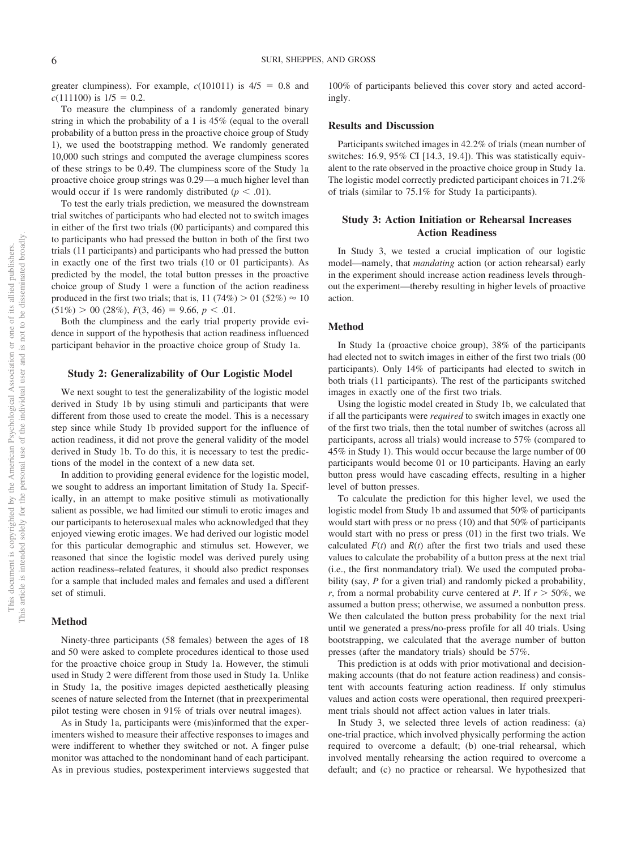greater clumpiness). For example,  $c(101011)$  is  $4/5 = 0.8$  and  $c(111100)$  is  $1/5 = 0.2$ .

To measure the clumpiness of a randomly generated binary string in which the probability of a 1 is 45% (equal to the overall probability of a button press in the proactive choice group of Study 1), we used the bootstrapping method. We randomly generated 10,000 such strings and computed the average clumpiness scores of these strings to be 0.49. The clumpiness score of the Study 1a proactive choice group strings was 0.29—a much higher level than would occur if 1s were randomly distributed  $(p < .01)$ .

To test the early trials prediction, we measured the downstream trial switches of participants who had elected not to switch images in either of the first two trials (00 participants) and compared this to participants who had pressed the button in both of the first two trials (11 participants) and participants who had pressed the button in exactly one of the first two trials (10 or 01 participants). As predicted by the model, the total button presses in the proactive choice group of Study 1 were a function of the action readiness produced in the first two trials; that is,  $11 (74%) > 01 (52%) \approx 10$  $(51\%) > 00$  (28%),  $F(3, 46) = 9.66, p < .01$ .

Both the clumpiness and the early trial property provide evidence in support of the hypothesis that action readiness influenced participant behavior in the proactive choice group of Study 1a.

#### **Study 2: Generalizability of Our Logistic Model**

We next sought to test the generalizability of the logistic model derived in Study 1b by using stimuli and participants that were different from those used to create the model. This is a necessary step since while Study 1b provided support for the influence of action readiness, it did not prove the general validity of the model derived in Study 1b. To do this, it is necessary to test the predictions of the model in the context of a new data set.

In addition to providing general evidence for the logistic model, we sought to address an important limitation of Study 1a. Specifically, in an attempt to make positive stimuli as motivationally salient as possible, we had limited our stimuli to erotic images and our participants to heterosexual males who acknowledged that they enjoyed viewing erotic images. We had derived our logistic model for this particular demographic and stimulus set. However, we reasoned that since the logistic model was derived purely using action readiness–related features, it should also predict responses for a sample that included males and females and used a different set of stimuli.

#### **Method**

Ninety-three participants (58 females) between the ages of 18 and 50 were asked to complete procedures identical to those used for the proactive choice group in Study 1a. However, the stimuli used in Study 2 were different from those used in Study 1a. Unlike in Study 1a, the positive images depicted aesthetically pleasing scenes of nature selected from the Internet (that in preexperimental pilot testing were chosen in 91% of trials over neutral images).

As in Study 1a, participants were (mis)informed that the experimenters wished to measure their affective responses to images and were indifferent to whether they switched or not. A finger pulse monitor was attached to the nondominant hand of each participant. As in previous studies, postexperiment interviews suggested that

100% of participants believed this cover story and acted accordingly.

#### **Results and Discussion**

Participants switched images in 42.2% of trials (mean number of switches: 16.9, 95% CI [14.3, 19.4]). This was statistically equivalent to the rate observed in the proactive choice group in Study 1a. The logistic model correctly predicted participant choices in 71.2% of trials (similar to 75.1% for Study 1a participants).

#### **Study 3: Action Initiation or Rehearsal Increases Action Readiness**

In Study 3, we tested a crucial implication of our logistic model—namely, that *mandating* action (or action rehearsal) early in the experiment should increase action readiness levels throughout the experiment—thereby resulting in higher levels of proactive action.

#### **Method**

In Study 1a (proactive choice group), 38% of the participants had elected not to switch images in either of the first two trials (00 participants). Only 14% of participants had elected to switch in both trials (11 participants). The rest of the participants switched images in exactly one of the first two trials.

Using the logistic model created in Study 1b, we calculated that if all the participants were *required* to switch images in exactly one of the first two trials, then the total number of switches (across all participants, across all trials) would increase to 57% (compared to 45% in Study 1). This would occur because the large number of 00 participants would become 01 or 10 participants. Having an early button press would have cascading effects, resulting in a higher level of button presses.

To calculate the prediction for this higher level, we used the logistic model from Study 1b and assumed that 50% of participants would start with press or no press (10) and that 50% of participants would start with no press or press (01) in the first two trials. We calculated  $F(t)$  and  $R(t)$  after the first two trials and used these values to calculate the probability of a button press at the next trial (i.e., the first nonmandatory trial). We used the computed probability (say, *P* for a given trial) and randomly picked a probability, *r*, from a normal probability curve centered at *P*. If  $r > 50\%$ , we assumed a button press; otherwise, we assumed a nonbutton press. We then calculated the button press probability for the next trial until we generated a press/no-press profile for all 40 trials. Using bootstrapping, we calculated that the average number of button presses (after the mandatory trials) should be 57%.

This prediction is at odds with prior motivational and decisionmaking accounts (that do not feature action readiness) and consistent with accounts featuring action readiness. If only stimulus values and action costs were operational, then required preexperiment trials should not affect action values in later trials.

In Study 3, we selected three levels of action readiness: (a) one-trial practice, which involved physically performing the action required to overcome a default; (b) one-trial rehearsal, which involved mentally rehearsing the action required to overcome a default; and (c) no practice or rehearsal. We hypothesized that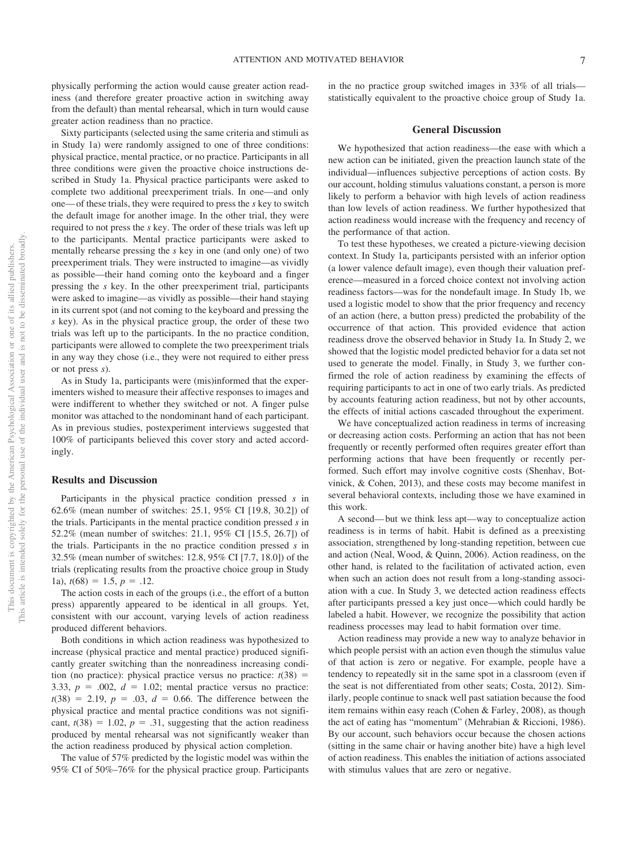physically performing the action would cause greater action readiness (and therefore greater proactive action in switching away from the default) than mental rehearsal, which in turn would cause greater action readiness than no practice.

Sixty participants (selected using the same criteria and stimuli as in Study 1a) were randomly assigned to one of three conditions: physical practice, mental practice, or no practice. Participants in all three conditions were given the proactive choice instructions described in Study 1a. Physical practice participants were asked to complete two additional preexperiment trials. In one—and only one—of these trials, they were required to press the *s* key to switch the default image for another image. In the other trial, they were required to not press the *s* key. The order of these trials was left up to the participants. Mental practice participants were asked to mentally rehearse pressing the *s* key in one (and only one) of two preexperiment trials. They were instructed to imagine—as vividly as possible—their hand coming onto the keyboard and a finger pressing the *s* key. In the other preexperiment trial, participants were asked to imagine—as vividly as possible—their hand staying in its current spot (and not coming to the keyboard and pressing the *s* key). As in the physical practice group, the order of these two trials was left up to the participants. In the no practice condition, participants were allowed to complete the two preexperiment trials in any way they chose (i.e., they were not required to either press or not press *s*).

As in Study 1a, participants were (mis)informed that the experimenters wished to measure their affective responses to images and were indifferent to whether they switched or not. A finger pulse monitor was attached to the nondominant hand of each participant. As in previous studies, postexperiment interviews suggested that 100% of participants believed this cover story and acted accordingly.

#### **Results and Discussion**

Participants in the physical practice condition pressed *s* in 62.6% (mean number of switches: 25.1, 95% CI [19.8, 30.2]) of the trials. Participants in the mental practice condition pressed *s* in 52.2% (mean number of switches: 21.1, 95% CI [15.5, 26.7]) of the trials. Participants in the no practice condition pressed *s* in 32.5% (mean number of switches: 12.8, 95% CI [7.7, 18.0]) of the trials (replicating results from the proactive choice group in Study 1a),  $t(68) = 1.5, p = .12$ .

The action costs in each of the groups (i.e., the effort of a button press) apparently appeared to be identical in all groups. Yet, consistent with our account, varying levels of action readiness produced different behaviors.

Both conditions in which action readiness was hypothesized to increase (physical practice and mental practice) produced significantly greater switching than the nonreadiness increasing condition (no practice): physical practice versus no practice:  $t(38) =$ 3.33,  $p = .002$ ,  $d = 1.02$ ; mental practice versus no practice:  $t(38) = 2.19, p = .03, d = 0.66$ . The difference between the physical practice and mental practice conditions was not significant,  $t(38) = 1.02$ ,  $p = .31$ , suggesting that the action readiness produced by mental rehearsal was not significantly weaker than the action readiness produced by physical action completion.

The value of 57% predicted by the logistic model was within the 95% CI of 50%–76% for the physical practice group. Participants in the no practice group switched images in 33% of all trials statistically equivalent to the proactive choice group of Study 1a.

#### **General Discussion**

We hypothesized that action readiness—the ease with which a new action can be initiated, given the preaction launch state of the individual—influences subjective perceptions of action costs. By our account, holding stimulus valuations constant, a person is more likely to perform a behavior with high levels of action readiness than low levels of action readiness. We further hypothesized that action readiness would increase with the frequency and recency of the performance of that action.

To test these hypotheses, we created a picture-viewing decision context. In Study 1a, participants persisted with an inferior option (a lower valence default image), even though their valuation preference—measured in a forced choice context not involving action readiness factors—was for the nondefault image. In Study 1b, we used a logistic model to show that the prior frequency and recency of an action (here, a button press) predicted the probability of the occurrence of that action. This provided evidence that action readiness drove the observed behavior in Study 1a. In Study 2, we showed that the logistic model predicted behavior for a data set not used to generate the model. Finally, in Study 3, we further confirmed the role of action readiness by examining the effects of requiring participants to act in one of two early trials. As predicted by accounts featuring action readiness, but not by other accounts, the effects of initial actions cascaded throughout the experiment.

We have conceptualized action readiness in terms of increasing or decreasing action costs. Performing an action that has not been frequently or recently performed often requires greater effort than performing actions that have been frequently or recently performed. Such effort may involve cognitive costs (Shenhav, Botvinick, & Cohen, 2013), and these costs may become manifest in several behavioral contexts, including those we have examined in this work.

A second—but we think less apt—way to conceptualize action readiness is in terms of habit. Habit is defined as a preexisting association, strengthened by long-standing repetition, between cue and action (Neal, Wood, & Quinn, 2006). Action readiness, on the other hand, is related to the facilitation of activated action, even when such an action does not result from a long-standing association with a cue. In Study 3, we detected action readiness effects after participants pressed a key just once—which could hardly be labeled a habit. However, we recognize the possibility that action readiness processes may lead to habit formation over time.

Action readiness may provide a new way to analyze behavior in which people persist with an action even though the stimulus value of that action is zero or negative. For example, people have a tendency to repeatedly sit in the same spot in a classroom (even if the seat is not differentiated from other seats; Costa, 2012). Similarly, people continue to snack well past satiation because the food item remains within easy reach (Cohen & Farley, 2008), as though the act of eating has "momentum" (Mehrabian & Riccioni, 1986). By our account, such behaviors occur because the chosen actions (sitting in the same chair or having another bite) have a high level of action readiness. This enables the initiation of actions associated with stimulus values that are zero or negative.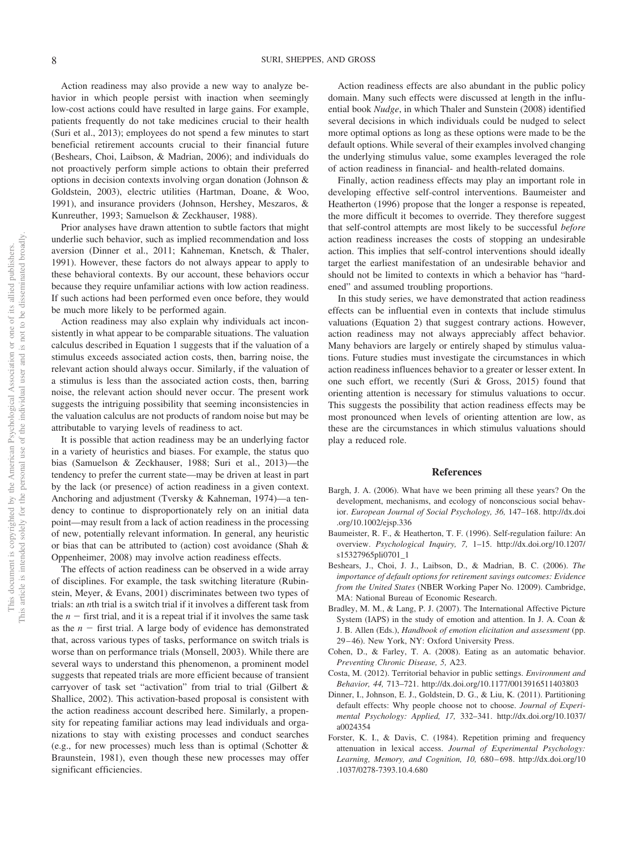Action readiness may also provide a new way to analyze behavior in which people persist with inaction when seemingly low-cost actions could have resulted in large gains. For example, patients frequently do not take medicines crucial to their health (Suri et al., 2013); employees do not spend a few minutes to start beneficial retirement accounts crucial to their financial future (Beshears, Choi, Laibson, & Madrian, 2006); and individuals do not proactively perform simple actions to obtain their preferred options in decision contexts involving organ donation (Johnson & Goldstein, 2003), electric utilities (Hartman, Doane, & Woo, 1991), and insurance providers (Johnson, Hershey, Meszaros, & Kunreuther, 1993; Samuelson & Zeckhauser, 1988).

Prior analyses have drawn attention to subtle factors that might underlie such behavior, such as implied recommendation and loss aversion (Dinner et al., 2011; Kahneman, Knetsch, & Thaler, 1991). However, these factors do not always appear to apply to these behavioral contexts. By our account, these behaviors occur because they require unfamiliar actions with low action readiness. If such actions had been performed even once before, they would be much more likely to be performed again.

Action readiness may also explain why individuals act inconsistently in what appear to be comparable situations. The valuation calculus described in Equation 1 suggests that if the valuation of a stimulus exceeds associated action costs, then, barring noise, the relevant action should always occur. Similarly, if the valuation of a stimulus is less than the associated action costs, then, barring noise, the relevant action should never occur. The present work suggests the intriguing possibility that seeming inconsistencies in the valuation calculus are not products of random noise but may be attributable to varying levels of readiness to act.

It is possible that action readiness may be an underlying factor in a variety of heuristics and biases. For example, the status quo bias (Samuelson & Zeckhauser, 1988; Suri et al., 2013)—the tendency to prefer the current state—may be driven at least in part by the lack (or presence) of action readiness in a given context. Anchoring and adjustment (Tversky & Kahneman, 1974)—a tendency to continue to disproportionately rely on an initial data point—may result from a lack of action readiness in the processing of new, potentially relevant information. In general, any heuristic or bias that can be attributed to (action) cost avoidance (Shah & Oppenheimer, 2008) may involve action readiness effects.

The effects of action readiness can be observed in a wide array of disciplines. For example, the task switching literature (Rubinstein, Meyer, & Evans, 2001) discriminates between two types of trials: an *n*th trial is a switch trial if it involves a different task from the  $n -$  first trial, and it is a repeat trial if it involves the same task as the  $n -$  first trial. A large body of evidence has demonstrated that, across various types of tasks, performance on switch trials is worse than on performance trials (Monsell, 2003). While there are several ways to understand this phenomenon, a prominent model suggests that repeated trials are more efficient because of transient carryover of task set "activation" from trial to trial (Gilbert & Shallice, 2002). This activation-based proposal is consistent with the action readiness account described here. Similarly, a propensity for repeating familiar actions may lead individuals and organizations to stay with existing processes and conduct searches (e.g., for new processes) much less than is optimal (Schotter & Braunstein, 1981), even though these new processes may offer significant efficiencies.

Action readiness effects are also abundant in the public policy domain. Many such effects were discussed at length in the influential book *Nudge*, in which Thaler and Sunstein (2008) identified several decisions in which individuals could be nudged to select more optimal options as long as these options were made to be the default options. While several of their examples involved changing the underlying stimulus value, some examples leveraged the role of action readiness in financial- and health-related domains.

Finally, action readiness effects may play an important role in developing effective self-control interventions. Baumeister and Heatherton (1996) propose that the longer a response is repeated, the more difficult it becomes to override. They therefore suggest that self-control attempts are most likely to be successful *before* action readiness increases the costs of stopping an undesirable action. This implies that self-control interventions should ideally target the earliest manifestation of an undesirable behavior and should not be limited to contexts in which a behavior has "hardened" and assumed troubling proportions.

In this study series, we have demonstrated that action readiness effects can be influential even in contexts that include stimulus valuations (Equation 2) that suggest contrary actions. However, action readiness may not always appreciably affect behavior. Many behaviors are largely or entirely shaped by stimulus valuations. Future studies must investigate the circumstances in which action readiness influences behavior to a greater or lesser extent. In one such effort, we recently (Suri & Gross, 2015) found that orienting attention is necessary for stimulus valuations to occur. This suggests the possibility that action readiness effects may be most pronounced when levels of orienting attention are low, as these are the circumstances in which stimulus valuations should play a reduced role.

#### **References**

- Bargh, J. A. (2006). What have we been priming all these years? On the development, mechanisms, and ecology of nonconscious social behavior. *European Journal of Social Psychology, 36,* 147–168. http://dx.doi .org/10.1002/ejsp.336
- Baumeister, R. F., & Heatherton, T. F. (1996). Self-regulation failure: An overview. *Psychological Inquiry, 7,* 1–15. http://dx.doi.org/10.1207/ s15327965pli0701\_1
- Beshears, J., Choi, J. J., Laibson, D., & Madrian, B. C. (2006). *The importance of default options for retirement savings outcomes: Evidence from the United States* (NBER Working Paper No. 12009). Cambridge, MA: National Bureau of Economic Research.
- Bradley, M. M., & Lang, P. J. (2007). The International Affective Picture System (IAPS) in the study of emotion and attention. In J. A. Coan & J. B. Allen (Eds.), *Handbook of emotion elicitation and assessment* (pp. 29–46). New York, NY: Oxford University Press.
- Cohen, D., & Farley, T. A. (2008). Eating as an automatic behavior. *Preventing Chronic Disease, 5,* A23.
- Costa, M. (2012). Territorial behavior in public settings. *Environment and Behavior, 44,* 713–721. http://dx.doi.org/10.1177/0013916511403803
- Dinner, I., Johnson, E. J., Goldstein, D. G., & Liu, K. (2011). Partitioning default effects: Why people choose not to choose. *Journal of Experimental Psychology: Applied, 17,* 332–341. http://dx.doi.org/10.1037/ a0024354
- Forster, K. I., & Davis, C. (1984). Repetition priming and frequency attenuation in lexical access. *Journal of Experimental Psychology: Learning, Memory, and Cognition, 10,* 680–698. http://dx.doi.org/10 .1037/0278-7393.10.4.680